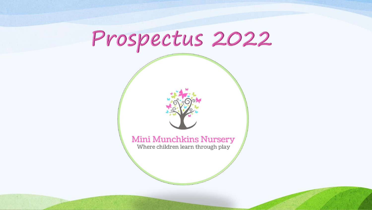# Prospectus 2022



### **Mini Munchkins Nursery** Where children learn through play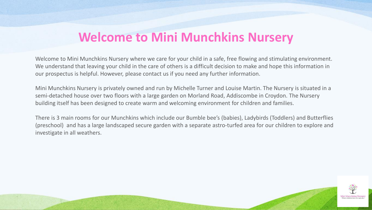## **Welcome to Mini Munchkins Nursery**

Welcome to Mini Munchkins Nursery where we care for your child in a safe, free flowing and stimulating environment. We understand that leaving your child in the care of others is a difficult decision to make and hope this information in our prospectus is helpful. However, please contact us if you need any further information.

Mini Munchkins Nursery is privately owned and run by Michelle Turner and Louise Martin. The Nursery is situated in a semi-detached house over two floors with a large garden on Morland Road, Addiscombe in Croydon. The Nursery building itself has been designed to create warm and welcoming environment for children and families.

There is 3 main rooms for our Munchkins which include our Bumble bee's (babies), Ladybirds (Toddlers) and Butterflies (preschool) and has a large landscaped secure garden with a separate astro-turfed area for our children to explore and investigate in all weathers.

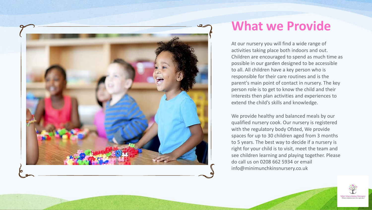

## **What we Provide**

At our nursery you will find a wide range of activities taking place both indoors and out. Children are encouraged to spend as much time as possible in our garden designed to be accessible to all. All children have a key person who is responsible for their care routines and is the parent's main point of contact in nursery. The key person role is to get to know the child and their interests then plan activities and experiences to extend the child's skills and knowledge.

We provide healthy and balanced meals by our qualified nursery cook. Our nursery is registered with the regulatory body Ofsted, We provide spaces for up to 30 children aged from 3 months to 5 years. The best way to decide if a nursery is right for your child is to visit, meet the team and see children learning and playing together. Please do call us on 0208 662 5934 or email info@minimunchkinsnursery.co.uk

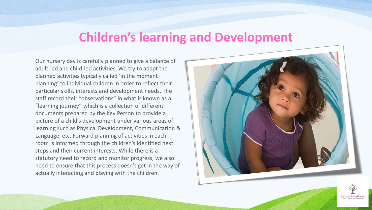### **Children's learning and Development**

Our nursery day is carefully planned to give a balance of adult-led and child-led activities. We try to adapt the planned activities typically called 'in the moment planning' to individual children in order to reflect their particular skills, interests and development needs. The staff record their "observations" in what is known as a "learning journey" which is a collection of different documents prepared by the Key Person to provide a picture of a child's development under various areas of learning such as Physical Development, Communication & Language, etc. Forward planning of activities in each room is informed through the children's identified next steps and their current interests. While there is a statutory need to record and monitor progress, we also need to ensure that this process doesn't get in the way of actually interacting and playing with the children.



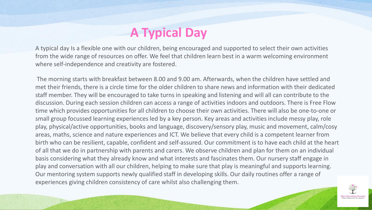## **A Typical Day**

A typical day Is a flexible one with our children, being encouraged and supported to select their own activities from the wide range of resources on offer. We feel that children learn best in a warm welcoming environment where self-independence and creativity are fostered.

The morning starts with breakfast between 8.00 and 9.00 am. Afterwards, when the children have settled and met their friends, there is a circle time for the older children to share news and information with their dedicated staff member. They will be encouraged to take turns in speaking and listening and will all can contribute to the discussion. During each session children can access a range of activities indoors and outdoors. There is Free Flow time which provides opportunities for all children to choose their own activities. There will also be one-to-one or small group focussed learning experiences led by a key person. Key areas and activities include messy play, role play, physical/active opportunities, books and language, discovery/sensory play, music and movement, calm/cosy areas, maths, science and nature experiences and ICT. We believe that every child is a competent learner from birth who can be resilient, capable, confident and self-assured. Our commitment is to have each child at the heart of all that we do in partnership with parents and carers. We observe children and plan for them on an individual basis considering what they already know and what interests and fascinates them. Our nursery staff engage in play and conversation with all our children, helping to make sure that play is meaningful and supports learning. Our mentoring system supports newly qualified staff in developing skills. Our daily routines offer a range of experiences giving children consistency of care whilst also challenging them.

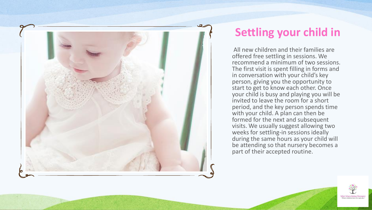

## **Settling your child in**

All new children and their families are offered free settling in sessions. We recommend a minimum of two sessions. The first visit is spent filling in forms and in conversation with your child's key person, giving you the opportunity to start to get to know each other. Once your child is busy and playing you will be invited to leave the room for a short period, and the key person spends time with your child. A plan can then be formed for the next and subsequent visits. We usually suggest allowing two weeks for settling-in sessions ideally during the same hours as your child will be attending so that nursery becomes a part of their accepted routine.

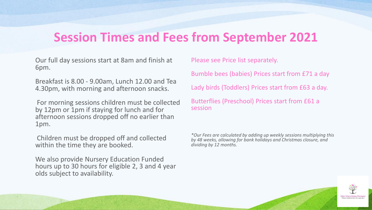## **Session Times and Fees from September 2021**

Our full day sessions start at 8am and finish at 6pm.

Breakfast is 8.00 - 9.00am, Lunch 12.00 and Tea 4.30pm, with morning and afternoon snacks.

For morning sessions children must be collected by 12pm or 1pm if staying for lunch and for afternoon sessions dropped off no earlier than 1pm.

Children must be dropped off and collected within the time they are booked.

We also provide Nursery Education Funded hours up to 30 hours for eligible 2, 3 and 4 year olds subject to availability.

Please see Price list separately.

Bumble bees (babies) Prices start from £71 a day

Lady birds (Toddlers) Prices start from £63 a day.

Butterflies (Preschool) Prices start from £61 a session

*\*Our Fees are calculated by adding up weekly sessions multiplying this by 48 weeks, allowing for bank holidays and Christmas closure, and dividing by 12 months.* 

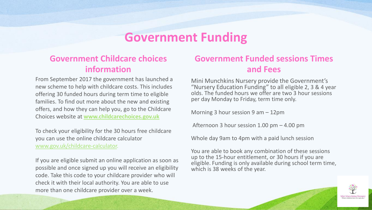## **Government Funding**

### **Government Childcare choices information**

From September 2017 the government has launched a new scheme to help with childcare costs. This includes offering 30 funded hours during term time to eligible families. To find out more about the new and existing offers, and how they can help you, go to the Childcare Choices website at **www.childcarechoices.gov.uk**

To check your eligibility for the 30 hours free childcare you can use the online childcare calculator [www.gov.uk/childcare-calculator.](http://www.gov.uk/childcare-calculator)

If you are eligible submit an online application as soon as possible and once signed up you will receive an eligibility code. Take this code to your childcare provider who will check it with their local authority. You are able to use more than one childcare provider over a week.

### **Government Funded sessions Times and Fees**

Mini Munchkins Nursery provide the Government's "Nursery Education Funding" to all eligible 2, 3 & 4 year olds. The funded hours we offer are two 3 hour sessions per day Monday to Friday, term time only.

Morning 3 hour session 9 am – 12pm

Afternoon 3 hour session 1.00 pm – 4.00 pm

Whole day 9am to 4pm with a paid lunch session

You are able to book any combination of these sessions up to the 15-hour entitlement, or 30 hours if you are eligible. Funding is only available during school term time, which is 38 weeks of the year.

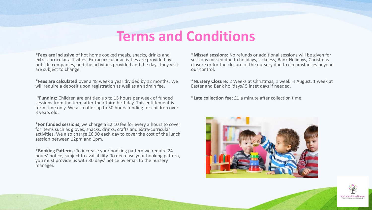## **Terms and Conditions**

\***Fees are inclusive** of hot home cooked meals, snacks, drinks and extra-curricular activities. Extracurricular activities are provided by outside companies, and the activities provided and the days they visit are subject to change.

\***Fees are calculated** over a 48 week a year divided by 12 months. We will require a deposit upon registration as well as an admin fee.

\***Funding:** Children are entitled up to 15 hours per week of funded sessions from the term after their third birthday. This entitlement is term time only. We also offer up to 30 hours funding for children over 3 years old.

\***For funded sessions**, we charge a £2.10 fee for every 3 hours to cover for items such as gloves, snacks, drinks, crafts and extra-curricular activities. We also charge £6.90 each day to cover the cost of the lunch session between 12pm and 1pm.

\***Booking Patterns:** To increase your booking pattern we require 24 hours' notice, subject to availability. To decrease your booking pattern, you must provide us with 30 days' notice by email to the nursery manager.

\***Missed sessions**: No refunds or additional sessions will be given for sessions missed due to holidays, sickness, Bank Holidays, Christmas closure or for the closure of the nursery due to circumstances beyond our control.

\***Nursery Closure**: 2 Weeks at Christmas, 1 week in August, 1 week at Easter and Bank holidays/ 5 inset days if needed.

\***Late collection fee**: £1 a minute after collection time



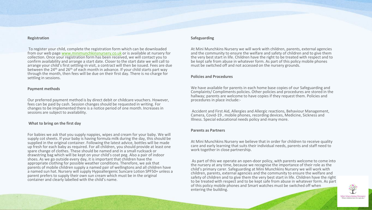#### **Registration**

To register your child, complete the registration form which can be downloaded from our web page [www.minimunchkinsnursery.co.uk](http://www.minimunchkinsnursery.co.uk/) or is available at nursery for collection. Once your registration form has been received, we will contact you to confirm availability and arrange a start date. Closer to the start date we will call to arrange your child's first settling-in visit, a contract will then be issued. Fees are due between the  $24<sup>th</sup>$  and  $26<sup>th</sup>$  of each month in advance. If your child starts part way through the month, then fees will be due on their first day. There is no charge for settling in sessions.

#### **Payment methods**

Our preferred payment method is by direct debit or childcare vouchers. However, fees can be paid by cash. Session changes should be requested in writing. For changes to be implemented there is a notice period of one month. Increases in sessions are subject to availability.

### **What to bring on the first day**

For babies we ask that you supply nappies, wipes and cream for your baby. We will supply cot sheets. If your baby is having formula milk during the day, this should be supplied in the original container. Following the latest advice, bottles will be made up fresh for each baby as required. For all children, you should provide at least one spare change of clothes. These should be named and in a small rucksack or drawstring bag which will be kept on your child's coat peg. Also a pair of indoor shoes. As we go outside every day, it is important that children have the appropriate clothing for possible weather conditions. Therefore, we ask that parents of mobile children supply a named pair of wellingtons and all children have a named sun hat. Nursery will supply Hypoallergenic Suncare Lotion SPF50+ unless a parent prefers to supply their own sun cream which must be in the original container and clearly labelled with the child's name.

### **Safeguarding**

At Mini Munchkins Nursery we will work with children, parents, external agencies and the community to ensure the welfare and safety of children and to give them the very best start in life. Children have the right to be treated with respect and to be kept safe from abuse in whatever form. As part of this policy mobile phones must be switched off and not accessed on the nursery grounds.

#### **Policies and Procedures**

We have available for parents in each home base copies of our Safeguarding and Complaints/ Compliments policies. Other policies and procedures are stored in the hallway; parents are welcome to have copies if they request them. Policies and procedures in place include:-

Accident and First Aid, Allergies and Allergic reactions, Behaviour Management, Camera, Covid-19 , mobile phones, recording devices, Medicine, Sickness and Illness. Special educational needs policy and many more.

#### **Parents as Partners**

At Mini Munchkins Nursery we believe that in order for children to receive quality care and early learning that suits their individual needs, parents and staff need to work together in close partnership.

As part of this we operate an open-door policy, with parents welcome to come into the nursery at any time, because we recognise the importance of their role as the child's primary carer. Safeguarding at Mini Munchkins Nursery we will work with children, parents, external agencies and the community to ensure the welfare and safety of children and to give them the very best start in life. Children have the right to be treated with respect and to be kept safe from abuse in whatever form. As part of this policy mobile phones and Smart watches must be switched off when entering the building.